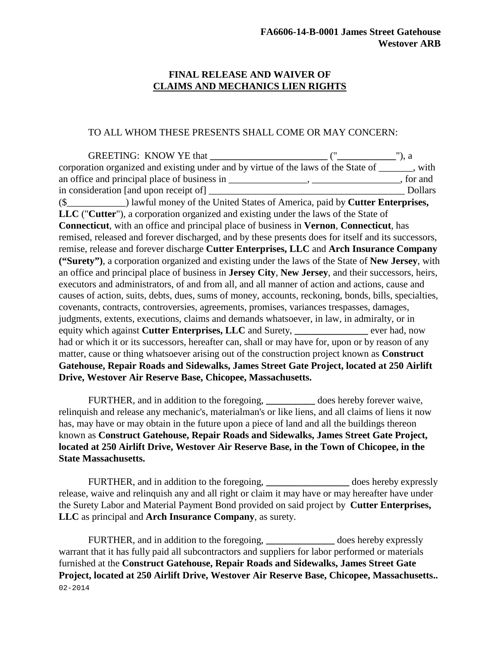## **FINAL RELEASE AND WAIVER OF CLAIMS AND MECHANICS LIEN RIGHTS**

## TO ALL WHOM THESE PRESENTS SHALL COME OR MAY CONCERN:

GREETING: KNOW YE that **\_\_\_\_\_\_\_\_\_\_\_\_\_\_\_\_\_\_\_\_\_\_\_\_** ("**\_\_\_\_\_\_\_\_\_\_\_\_**"), a corporation organized and existing under and by virtue of the laws of the State of \_\_\_\_\_\_, with an office and principal place of business in \_\_\_\_\_\_\_\_\_\_\_\_\_\_\_, \_\_\_\_\_\_\_\_\_\_\_\_\_\_\_\_\_, for and in consideration [and upon receipt of] \_\_\_\_\_\_\_\_\_\_\_\_\_\_\_\_\_\_\_\_\_\_\_\_\_\_\_\_\_\_\_\_\_\_\_\_\_\_\_\_ Dollars (\$\_\_\_\_\_\_\_\_\_\_\_\_) lawful money of the United States of America, paid by **Cutter Enterprises, LLC** ("**Cutter**"), a corporation organized and existing under the laws of the State of **Connecticut**, with an office and principal place of business in **Vernon**, **Connecticut**, has remised, released and forever discharged, and by these presents does for itself and its successors, remise, release and forever discharge **Cutter Enterprises, LLC** and **Arch Insurance Company ("Surety")**, a corporation organized and existing under the laws of the State of **New Jersey**, with an office and principal place of business in **Jersey City**, **New Jersey**, and their successors, heirs, executors and administrators, of and from all, and all manner of action and actions, cause and causes of action, suits, debts, dues, sums of money, accounts, reckoning, bonds, bills, specialties, covenants, contracts, controversies, agreements, promises, variances trespasses, damages, judgments, extents, executions, claims and demands whatsoever, in law, in admiralty, or in equity which against **Cutter Enterprises, LLC** and Surety, ever had, now had or which it or its successors, hereafter can, shall or may have for, upon or by reason of any matter, cause or thing whatsoever arising out of the construction project known as **Construct Gatehouse, Repair Roads and Sidewalks, James Street Gate Project, located at 250 Airlift Drive, Westover Air Reserve Base, Chicopee, Massachusetts.**

FURTHER, and in addition to the foregoing, **\_\_\_\_\_\_\_\_\_\_** does hereby forever waive, relinquish and release any mechanic's, materialman's or like liens, and all claims of liens it now has, may have or may obtain in the future upon a piece of land and all the buildings thereon known as **Construct Gatehouse, Repair Roads and Sidewalks, James Street Gate Project, located at 250 Airlift Drive, Westover Air Reserve Base, in the Town of Chicopee, in the State Massachusetts.**

FURTHER, and in addition to the foregoing, **\_\_\_\_\_\_\_\_\_\_\_\_\_\_\_\_\_** does hereby expressly release, waive and relinquish any and all right or claim it may have or may hereafter have under the Surety Labor and Material Payment Bond provided on said project by **Cutter Enterprises, LLC** as principal and **Arch Insurance Company**, as surety.

FURTHER, and in addition to the foregoing, does hereby expressly warrant that it has fully paid all subcontractors and suppliers for labor performed or materials furnished at the **Construct Gatehouse, Repair Roads and Sidewalks, James Street Gate Project, located at 250 Airlift Drive, Westover Air Reserve Base, Chicopee, Massachusetts..** 02-2014